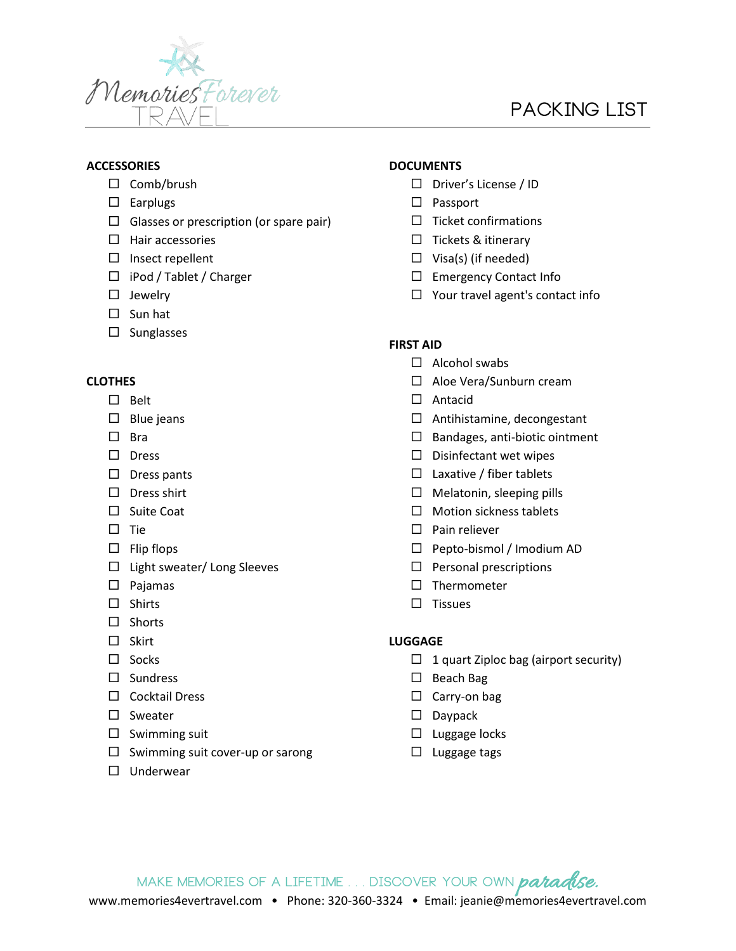

# **Packing List**

## **ACCESSORIES**

- $\Box$  Comb/brush
- $\square$  Earplugs
- $\Box$  Glasses or prescription (or spare pair)
- $\Box$  Hair accessories
- $\square$  Insect repellent
- □ iPod / Tablet / Charger
- $\square$  Jewelry
- $\square$  Sun hat
- $\square$  Sunglasses

#### **CLOTHES**

- $\square$  Belt
- $\square$  Blue jeans
- $\Box$  Bra
- $\square$  Dress
- $\square$  Dress pants
- $\square$  Dress shirt
- $\square$  Suite Coat
- $\square$  Tie
- $\Box$  Flip flops
- $\Box$  Light sweater/ Long Sleeves
- $\square$  Pajamas
- $\Box$  Shirts
- $\square$  Shorts
- $\square$  Skirt
- $\square$  Socks
- $\square$  Sundress
- □ Cocktail Dress
- $\square$  Sweater
- $\square$  Swimming suit
- $\Box$  Swimming suit cover-up or sarong
- □ Underwear

## **DOCUMENTS**

- $\square$  Driver's License / ID
- $\square$  Passport
- $\Box$  Ticket confirmations
- $\square$  Tickets & itinerary
- $\Box$  Visa(s) (if needed)
- □ Emergency Contact Info
- $\Box$  Your travel agent's contact info

### **FIRST AID**

- $\Box$  Alcohol swabs
- □ Aloe Vera/Sunburn cream
- □ Antacid
- Antihistamine, decongestant
- $\Box$  Bandages, anti-biotic ointment
- $\square$  Disinfectant wet wipes
- $\square$  Laxative / fiber tablets
- $\Box$  Melatonin, sleeping pills
- $\Box$  Motion sickness tablets
- $\square$  Pain reliever
- □ Pepto-bismol / Imodium AD
- $\square$  Personal prescriptions
- $\square$  Thermometer
- $\square$  Tissues

## **LUGGAGE**

- $\Box$  1 quart Ziploc bag (airport security)
- $\square$  Beach Bag
- $\square$  Carry-on bag
- $\square$  Daypack
- $\Box$  Luggage locks
- $\square$  Luggage tags

MAKE MEMORIES OF A LIFETIME . . . DISCOVER YOUR OWN *patadise.*<br>www.memories4evertravel.com • Phone: 320-360-3324 • Email: jeanie@memories4evertravel.com